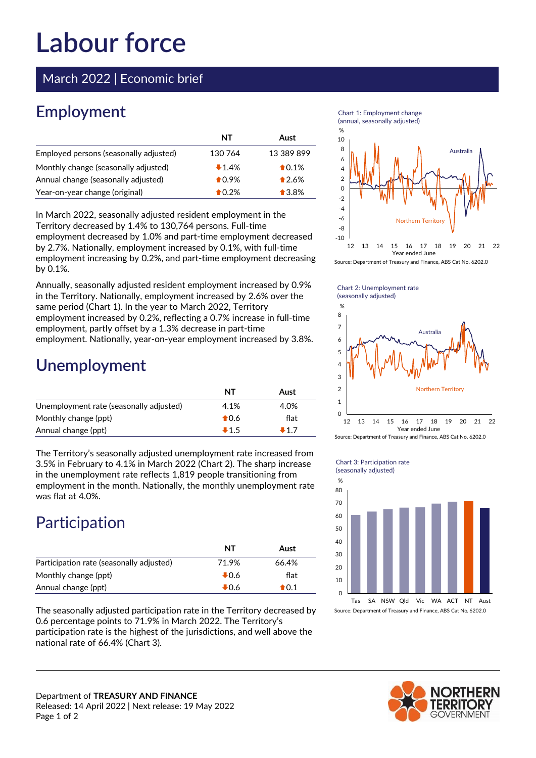# **Labour force**

March 2022 | Economic brief

## **Employment**

|                                        | NT      | Aust            |
|----------------------------------------|---------|-----------------|
| Employed persons (seasonally adjusted) | 130 764 | 13 389 899      |
| Monthly change (seasonally adjusted)   | 1.4%    | $\bigstar$ 0.1% |
| Annual change (seasonally adjusted)    | $*0.9%$ | $*2.6%$         |
| Year-on-year change (original)         | $*0.2%$ | $\bigstar$ 3.8% |

In March 2022, seasonally adjusted resident employment in the Territory decreased by 1.4% to 130,764 persons. Full-time employment decreased by 1.0% and part-time employment decreased by 2.7%. Nationally, employment increased by 0.1%, with full-time employment increasing by 0.2%, and part-time employment decreasing by 0.1%.

Annually, seasonally adjusted resident employment increased by 0.9% in the Territory. Nationally, employment increased by 2.6% over the same period (Chart 1). In the year to March 2022, Territory employment increased by 0.2%, reflecting a 0.7% increase in full-time employment, partly offset by a 1.3% decrease in part-time employment. Nationally, year-on-year employment increased by 3.8%.

### **Unemployment**

|                                         | NT             | Aust |
|-----------------------------------------|----------------|------|
| Unemployment rate (seasonally adjusted) | 4.1%           | 4.0% |
| Monthly change (ppt)                    | $\bigstar$ 0.6 | flat |
| Annual change (ppt)                     | $+1.5$         | ∎17  |

The Territory's seasonally adjusted unemployment rate increased from 3.5% in February to 4.1% in March 2022 (Chart 2). The sharp increase in the unemployment rate reflects 1,819 people transitioning from employment in the month. Nationally, the monthly unemployment rate was flat at 4.0%.

# Participation

|                                          | NT     | Aust             |
|------------------------------------------|--------|------------------|
| Participation rate (seasonally adjusted) | 71.9%  | 66.4%            |
| Monthly change (ppt)                     | $+0.6$ | flat             |
| Annual change (ppt)                      | $+0.6$ | $\spadesuit$ 0.1 |

The seasonally adjusted participation rate in the Territory decreased by 0.6 percentage points to 71.9% in March 2022. The Territory's participation rate is the highest of the jurisdictions, and well above the national rate of 66.4% (Chart 3).

Department of **TREASURY AND FINANCE**







Chart 1: Employment change (annual, seasonally adjusted)

Chart 2: Unemployment rate (seasonally adjusted)



Source: Department of Treasury and Finance, ABS Cat No. 6202.0